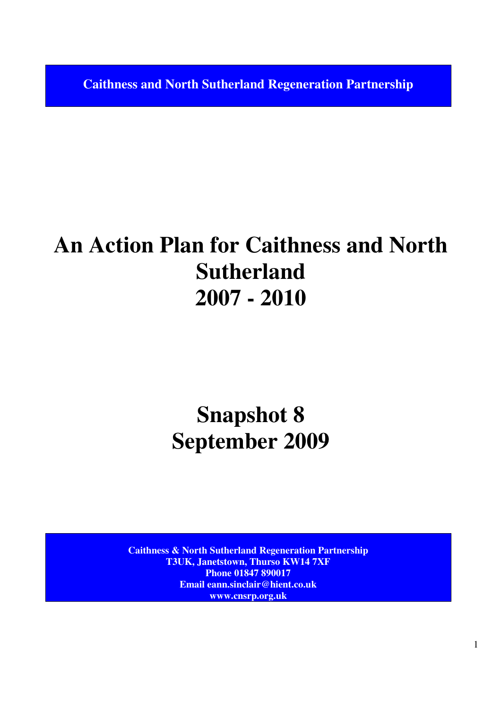**Caithness and North Sutherland Regeneration Partnership** 

# **An Action Plan for Caithness and North Sutherland 2007 - 2010**

# **Snapshot 8 September 2009**

**Caithness & North Sutherland Regeneration Partnership T3UK, Janetstown, Thurso KW14 7XF Phone 01847 890017 Email eann.sinclair@hient.co.uk www.cnsrp.org.uk**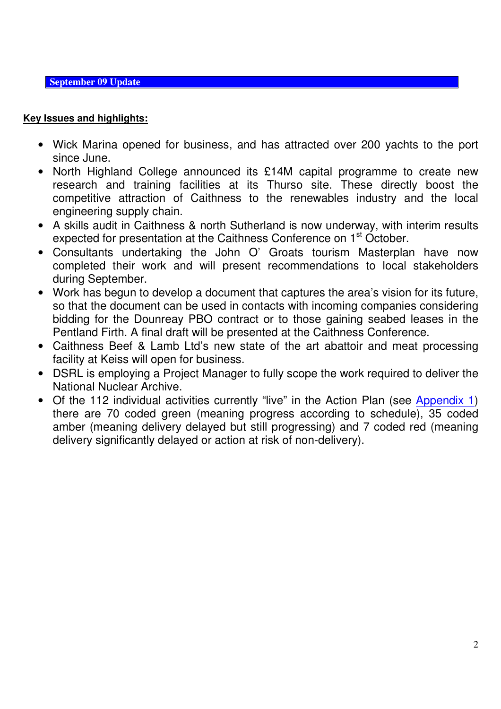**September 09 Update** 

# **Key Issues and highlights:**

- Wick Marina opened for business, and has attracted over 200 yachts to the port since June.
- North Highland College announced its £14M capital programme to create new research and training facilities at its Thurso site. These directly boost the competitive attraction of Caithness to the renewables industry and the local engineering supply chain.
- A skills audit in Caithness & north Sutherland is now underway, with interim results expected for presentation at the Caithness Conference on 1<sup>st</sup> October.
- Consultants undertaking the John O' Groats tourism Masterplan have now completed their work and will present recommendations to local stakeholders during September.
- Work has begun to develop a document that captures the area's vision for its future, so that the document can be used in contacts with incoming companies considering bidding for the Dounreay PBO contract or to those gaining seabed leases in the Pentland Firth. A final draft will be presented at the Caithness Conference.
- Caithness Beef & Lamb Ltd's new state of the art abattoir and meat processing facility at Keiss will open for business.
- DSRL is employing a Project Manager to fully scope the work required to deliver the National Nuclear Archive.
- Of the 112 individual activities currently "live" in the Action Plan (see Appendix 1) there are 70 coded green (meaning progress according to schedule), 35 coded amber (meaning delivery delayed but still progressing) and 7 coded red (meaning delivery significantly delayed or action at risk of non-delivery).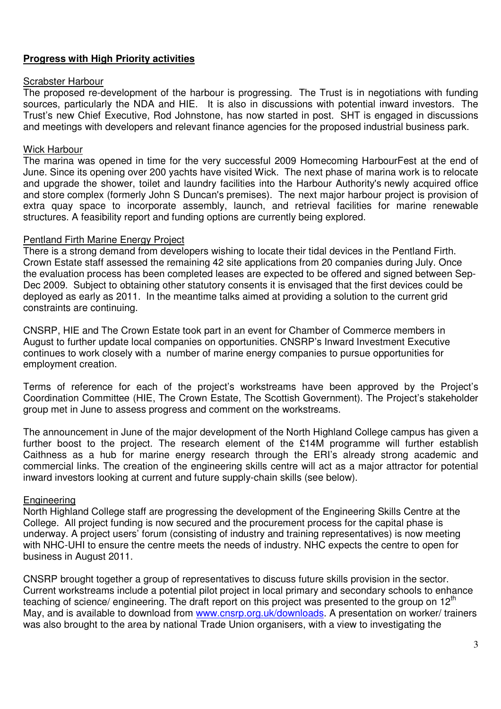## **Progress with High Priority activities**

#### Scrabster Harbour

The proposed re-development of the harbour is progressing. The Trust is in negotiations with funding sources, particularly the NDA and HIE. It is also in discussions with potential inward investors. The Trust's new Chief Executive, Rod Johnstone, has now started in post. SHT is engaged in discussions and meetings with developers and relevant finance agencies for the proposed industrial business park.

#### Wick Harbour

The marina was opened in time for the very successful 2009 Homecoming HarbourFest at the end of June. Since its opening over 200 yachts have visited Wick. The next phase of marina work is to relocate and upgrade the shower, toilet and laundry facilities into the Harbour Authority's newly acquired office and store complex (formerly John S Duncan's premises). The next major harbour project is provision of extra quay space to incorporate assembly, launch, and retrieval facilities for marine renewable structures. A feasibility report and funding options are currently being explored.

### Pentland Firth Marine Energy Project

There is a strong demand from developers wishing to locate their tidal devices in the Pentland Firth. Crown Estate staff assessed the remaining 42 site applications from 20 companies during July. Once the evaluation process has been completed leases are expected to be offered and signed between Sep-Dec 2009. Subject to obtaining other statutory consents it is envisaged that the first devices could be deployed as early as 2011. In the meantime talks aimed at providing a solution to the current grid constraints are continuing.

CNSRP, HIE and The Crown Estate took part in an event for Chamber of Commerce members in August to further update local companies on opportunities. CNSRP's Inward Investment Executive continues to work closely with a number of marine energy companies to pursue opportunities for employment creation.

Terms of reference for each of the project's workstreams have been approved by the Project's Coordination Committee (HIE, The Crown Estate, The Scottish Government). The Project's stakeholder group met in June to assess progress and comment on the workstreams.

The announcement in June of the major development of the North Highland College campus has given a further boost to the project. The research element of the £14M programme will further establish Caithness as a hub for marine energy research through the ERI's already strong academic and commercial links. The creation of the engineering skills centre will act as a major attractor for potential inward investors looking at current and future supply-chain skills (see below).

### Engineering

North Highland College staff are progressing the development of the Engineering Skills Centre at the College. All project funding is now secured and the procurement process for the capital phase is underway. A project users' forum (consisting of industry and training representatives) is now meeting with NHC-UHI to ensure the centre meets the needs of industry. NHC expects the centre to open for business in August 2011.

CNSRP brought together a group of representatives to discuss future skills provision in the sector. Current workstreams include a potential pilot project in local primary and secondary schools to enhance teaching of science/ engineering. The draft report on this project was presented to the group on  $12<sup>th</sup>$ May, and is available to download from www.cnsrp.org.uk/downloads. A presentation on worker/ trainers was also brought to the area by national Trade Union organisers, with a view to investigating the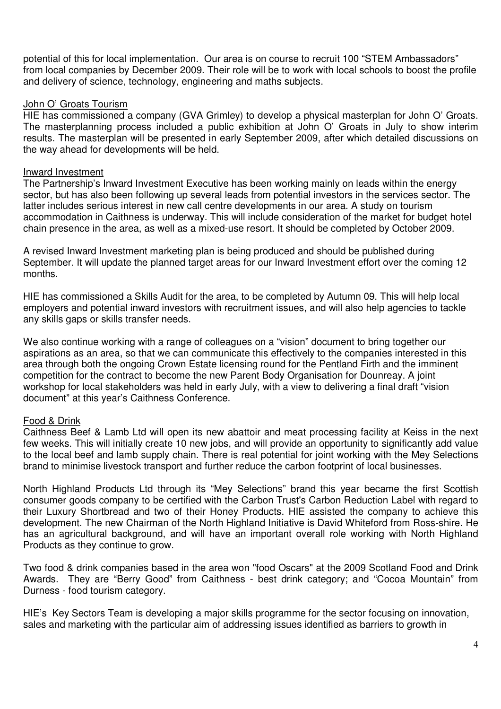potential of this for local implementation. Our area is on course to recruit 100 "STEM Ambassadors" from local companies by December 2009. Their role will be to work with local schools to boost the profile and delivery of science, technology, engineering and maths subjects.

#### John O' Groats Tourism

HIE has commissioned a company (GVA Grimley) to develop a physical masterplan for John O' Groats. The masterplanning process included a public exhibition at John O' Groats in July to show interim results. The masterplan will be presented in early September 2009, after which detailed discussions on the way ahead for developments will be held.

#### Inward Investment

The Partnership's Inward Investment Executive has been working mainly on leads within the energy sector, but has also been following up several leads from potential investors in the services sector. The latter includes serious interest in new call centre developments in our area. A study on tourism accommodation in Caithness is underway. This will include consideration of the market for budget hotel chain presence in the area, as well as a mixed-use resort. It should be completed by October 2009.

A revised Inward Investment marketing plan is being produced and should be published during September. It will update the planned target areas for our Inward Investment effort over the coming 12 months.

HIE has commissioned a Skills Audit for the area, to be completed by Autumn 09. This will help local employers and potential inward investors with recruitment issues, and will also help agencies to tackle any skills gaps or skills transfer needs.

We also continue working with a range of colleagues on a "vision" document to bring together our aspirations as an area, so that we can communicate this effectively to the companies interested in this area through both the ongoing Crown Estate licensing round for the Pentland Firth and the imminent competition for the contract to become the new Parent Body Organisation for Dounreay. A joint workshop for local stakeholders was held in early July, with a view to delivering a final draft "vision document" at this year's Caithness Conference.

### Food & Drink

Caithness Beef & Lamb Ltd will open its new abattoir and meat processing facility at Keiss in the next few weeks. This will initially create 10 new jobs, and will provide an opportunity to significantly add value to the local beef and lamb supply chain. There is real potential for joint working with the Mey Selections brand to minimise livestock transport and further reduce the carbon footprint of local businesses.

North Highland Products Ltd through its "Mey Selections" brand this year became the first Scottish consumer goods company to be certified with the Carbon Trust's Carbon Reduction Label with regard to their Luxury Shortbread and two of their Honey Products. HIE assisted the company to achieve this development. The new Chairman of the North Highland Initiative is David Whiteford from Ross-shire. He has an agricultural background, and will have an important overall role working with North Highland Products as they continue to grow.

Two food & drink companies based in the area won "food Oscars" at the 2009 Scotland Food and Drink Awards. They are "Berry Good" from Caithness - best drink category; and "Cocoa Mountain" from Durness - food tourism category.

HIE's Key Sectors Team is developing a major skills programme for the sector focusing on innovation, sales and marketing with the particular aim of addressing issues identified as barriers to growth in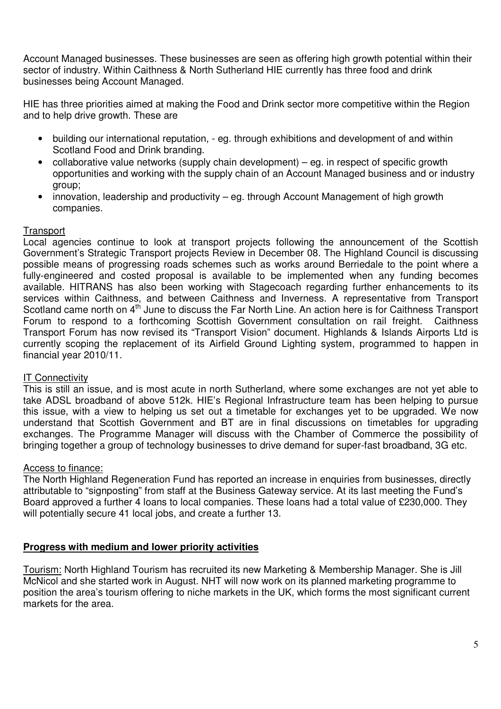Account Managed businesses. These businesses are seen as offering high growth potential within their sector of industry. Within Caithness & North Sutherland HIE currently has three food and drink businesses being Account Managed.

HIE has three priorities aimed at making the Food and Drink sector more competitive within the Region and to help drive growth. These are

- building our international reputation, eg. through exhibitions and development of and within Scotland Food and Drink branding.
- collaborative value networks (supply chain development) eq. in respect of specific growth opportunities and working with the supply chain of an Account Managed business and or industry group;
- innovation, leadership and productivity eg. through Account Management of high growth companies.

## **Transport**

Local agencies continue to look at transport projects following the announcement of the Scottish Government's Strategic Transport projects Review in December 08. The Highland Council is discussing possible means of progressing roads schemes such as works around Berriedale to the point where a fully-engineered and costed proposal is available to be implemented when any funding becomes available. HITRANS has also been working with Stagecoach regarding further enhancements to its services within Caithness, and between Caithness and Inverness. A representative from Transport Scotland came north on 4<sup>th</sup> June to discuss the Far North Line. An action here is for Caithness Transport Forum to respond to a forthcoming Scottish Government consultation on rail freight. Caithness Transport Forum has now revised its "Transport Vision" document. Highlands & Islands Airports Ltd is currently scoping the replacement of its Airfield Ground Lighting system, programmed to happen in financial year 2010/11.

### IT Connectivity

This is still an issue, and is most acute in north Sutherland, where some exchanges are not yet able to take ADSL broadband of above 512k. HIE's Regional Infrastructure team has been helping to pursue this issue, with a view to helping us set out a timetable for exchanges yet to be upgraded. We now understand that Scottish Government and BT are in final discussions on timetables for upgrading exchanges. The Programme Manager will discuss with the Chamber of Commerce the possibility of bringing together a group of technology businesses to drive demand for super-fast broadband, 3G etc.

### Access to finance:

The North Highland Regeneration Fund has reported an increase in enquiries from businesses, directly attributable to "signposting" from staff at the Business Gateway service. At its last meeting the Fund's Board approved a further 4 loans to local companies. These loans had a total value of £230,000. They will potentially secure 41 local jobs, and create a further 13.

### **Progress with medium and lower priority activities**

Tourism: North Highland Tourism has recruited its new Marketing & Membership Manager. She is Jill McNicol and she started work in August. NHT will now work on its planned marketing programme to position the area's tourism offering to niche markets in the UK, which forms the most significant current markets for the area.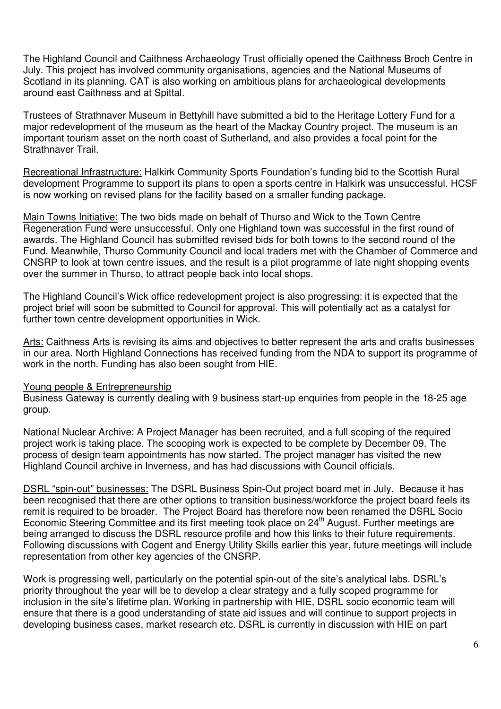The Highland Council and Caithness Archaeology Trust officially opened the Caithness Broch Centre in July. This project has involved community organisations, agencies and the National Museums of Scotland in its planning. CAT is also working on ambitious plans for archaeological developments around east Caithness and at Spittal.

Trustees of Strathnaver Museum in Bettyhill have submitted a bid to the Heritage Lottery Fund for a major redevelopment of the museum as the heart of the Mackay Country project. The museum is an important tourism asset on the north coast of Sutherland, and also provides a focal point for the Strathnaver Trail.

Recreational Infrastructure: Halkirk Community Sports Foundation's funding bid to the Scottish Rural development Programme to support its plans to open a sports centre in Halkirk was unsuccessful. HCSF is now working on revised plans for the facility based on a smaller funding package.

Main Towns Initiative: The two bids made on behalf of Thurso and Wick to the Town Centre Regeneration Fund were unsuccessful. Only one Highland town was successful in the first round of awards. The Highland Council has submitted revised bids for both towns to the second round of the Fund. Meanwhile, Thurso Community Council and local traders met with the Chamber of Commerce and CNSRP to look at town centre issues, and the result is a pilot programme of late night shopping events over the summer in Thurso, to attract people back into local shops.

The Highland Council's Wick office redevelopment project is also progressing: it is expected that the project brief will soon be submitted to Council for approval. This will potentially act as a catalyst for further town centre development opportunities in Wick.

Arts: Caithness Arts is revising its aims and objectives to better represent the arts and crafts businesses in our area. North Highland Connections has received funding from the NDA to support its programme of work in the north. Funding has also been sought from HIE.

### Young people & Entrepreneurship

Business Gateway is currently dealing with 9 business start-up enquiries from people in the 18-25 age group.

National Nuclear Archive: A Project Manager has been recruited, and a full scoping of the required project work is taking place. The scooping work is expected to be complete by December 09. The process of design team appointments has now started. The project manager has visited the new Highland Council archive in Inverness, and has had discussions with Council officials.

DSRL "spin-out" businesses: The DSRL Business Spin-Out project board met in July. Because it has been recognised that there are other options to transition business/workforce the project board feels its remit is required to be broader. The Project Board has therefore now been renamed the DSRL Socio Economic Steering Committee and its first meeting took place on 24<sup>th</sup> August. Further meetings are being arranged to discuss the DSRL resource profile and how this links to their future requirements. Following discussions with Cogent and Energy Utility Skills earlier this year, future meetings will include representation from other key agencies of the CNSRP.

Work is progressing well, particularly on the potential spin-out of the site's analytical labs. DSRL's priority throughout the year will be to develop a clear strategy and a fully scoped programme for inclusion in the site's lifetime plan. Working in partnership with HIE, DSRL socio economic team will ensure that there is a good understanding of state aid issues and will continue to support projects in developing business cases, market research etc. DSRL is currently in discussion with HIE on part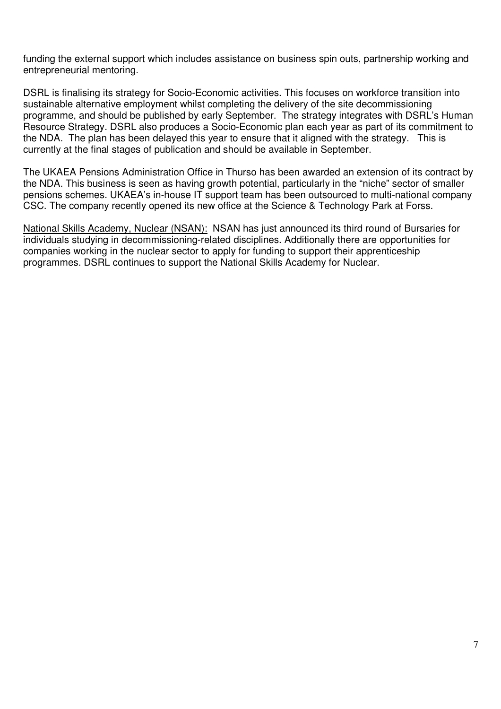funding the external support which includes assistance on business spin outs, partnership working and entrepreneurial mentoring.

DSRL is finalising its strategy for Socio-Economic activities. This focuses on workforce transition into sustainable alternative employment whilst completing the delivery of the site decommissioning programme, and should be published by early September. The strategy integrates with DSRL's Human Resource Strategy. DSRL also produces a Socio-Economic plan each year as part of its commitment to the NDA. The plan has been delayed this year to ensure that it aligned with the strategy. This is currently at the final stages of publication and should be available in September.

The UKAEA Pensions Administration Office in Thurso has been awarded an extension of its contract by the NDA. This business is seen as having growth potential, particularly in the "niche" sector of smaller pensions schemes. UKAEA's in-house IT support team has been outsourced to multi-national company CSC. The company recently opened its new office at the Science & Technology Park at Forss.

National Skills Academy, Nuclear (NSAN): NSAN has just announced its third round of Bursaries for individuals studying in decommissioning-related disciplines. Additionally there are opportunities for companies working in the nuclear sector to apply for funding to support their apprenticeship programmes. DSRL continues to support the National Skills Academy for Nuclear.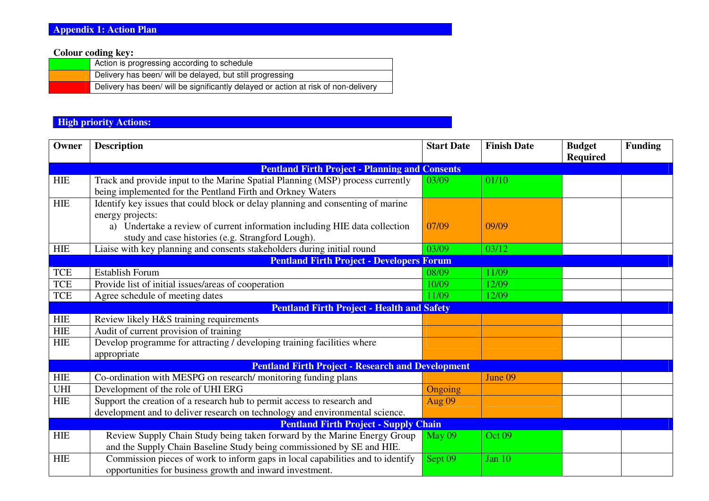**Colour coding key:** 

| Action is progressing according to schedule                                        |
|------------------------------------------------------------------------------------|
| Delivery has been/ will be delayed, but still progressing                          |
| Delivery has been/ will be significantly delayed or action at risk of non-delivery |

## **High priority Actions:**

| Owner       | <b>Description</b>                                                                                                                           | <b>Start Date</b> | <b>Finish Date</b> | <b>Budget</b> | <b>Funding</b> |
|-------------|----------------------------------------------------------------------------------------------------------------------------------------------|-------------------|--------------------|---------------|----------------|
|             |                                                                                                                                              |                   |                    | Required      |                |
|             | <b>Pentland Firth Project - Planning and Consents</b>                                                                                        |                   |                    |               |                |
| ${\rm HIE}$ | Track and provide input to the Marine Spatial Planning (MSP) process currently<br>being implemented for the Pentland Firth and Orkney Waters | 03/09             | 01/10              |               |                |
| <b>HIE</b>  | Identify key issues that could block or delay planning and consenting of marine                                                              |                   |                    |               |                |
|             | energy projects:                                                                                                                             |                   |                    |               |                |
|             | a) Undertake a review of current information including HIE data collection                                                                   | 07/09             | 09/09              |               |                |
|             | study and case histories (e.g. Strangford Lough).                                                                                            |                   |                    |               |                |
| ${\rm HIE}$ | Liaise with key planning and consents stakeholders during initial round                                                                      | 03/09             | 03/12              |               |                |
|             | <b>Pentland Firth Project - Developers Forum</b>                                                                                             |                   |                    |               |                |
| <b>TCE</b>  | <b>Establish Forum</b>                                                                                                                       | 08/09             | 11/09              |               |                |
| <b>TCE</b>  | Provide list of initial issues/areas of cooperation                                                                                          | 10/09             | 12/09              |               |                |
| <b>TCE</b>  | Agree schedule of meeting dates                                                                                                              | 11/09             | 12/09              |               |                |
|             | <b>Pentland Firth Project - Health and Safety</b>                                                                                            |                   |                    |               |                |
| ${\rm HIE}$ | Review likely H&S training requirements                                                                                                      |                   |                    |               |                |
| ${\rm HIE}$ | Audit of current provision of training                                                                                                       |                   |                    |               |                |
| ${\rm HIE}$ | Develop programme for attracting / developing training facilities where                                                                      |                   |                    |               |                |
|             | appropriate                                                                                                                                  |                   |                    |               |                |
|             | <b>Pentland Firth Project - Research and Development</b>                                                                                     |                   |                    |               |                |
| HIE         | Co-ordination with MESPG on research/monitoring funding plans                                                                                |                   | June 09            |               |                |
| UHI         | Development of the role of UHI ERG                                                                                                           | <b>Ongoing</b>    |                    |               |                |
| <b>HIE</b>  | Support the creation of a research hub to permit access to research and                                                                      | <b>Aug 09</b>     |                    |               |                |
|             | development and to deliver research on technology and environmental science.                                                                 |                   |                    |               |                |
|             | <b>Pentland Firth Project - Supply Chain</b>                                                                                                 |                   |                    |               |                |
| <b>HIE</b>  | Review Supply Chain Study being taken forward by the Marine Energy Group                                                                     | <b>May 09</b>     | Oct 09             |               |                |
|             | and the Supply Chain Baseline Study being commissioned by SE and HIE.                                                                        |                   |                    |               |                |
| ${\rm HIE}$ | Commission pieces of work to inform gaps in local capabilities and to identify                                                               | Sept 09           | Jan 10             |               |                |
|             | opportunities for business growth and inward investment.                                                                                     |                   |                    |               |                |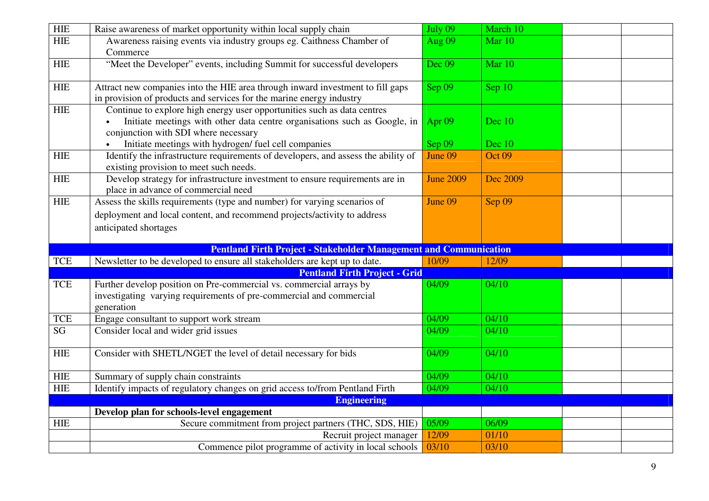| <b>HIE</b>             | Raise awareness of market opportunity within local supply chain                                                                                                                              | July 09          | March 10       |  |
|------------------------|----------------------------------------------------------------------------------------------------------------------------------------------------------------------------------------------|------------------|----------------|--|
| <b>HIE</b>             | Awareness raising events via industry groups eg. Caithness Chamber of<br>Commerce                                                                                                            | <b>Aug 09</b>    | Mar 10         |  |
| <b>HIE</b>             | "Meet the Developer" events, including Summit for successful developers                                                                                                                      | Dec 09           | Mar 10         |  |
| <b>HIE</b>             | Attract new companies into the HIE area through inward investment to fill gaps<br>in provision of products and services for the marine energy industry                                       | Sep 09           | Sep 10         |  |
| <b>HIE</b>             | Continue to explore high energy user opportunities such as data centres<br>Initiate meetings with other data centre organisations such as Google, in<br>conjunction with SDI where necessary | Apr $09$         | Dec $10$       |  |
|                        | Initiate meetings with hydrogen/ fuel cell companies                                                                                                                                         | Sep 09           | Dec 10         |  |
| <b>HIE</b>             | Identify the infrastructure requirements of developers, and assess the ability of<br>existing provision to meet such needs.                                                                  | June 09          | Oct 09         |  |
| <b>HIE</b>             | Develop strategy for infrastructure investment to ensure requirements are in<br>place in advance of commercial need                                                                          | <b>June 2009</b> | Dec 2009       |  |
| <b>HIE</b>             | Assess the skills requirements (type and number) for varying scenarios of                                                                                                                    | June 09          | Sep 09         |  |
|                        | deployment and local content, and recommend projects/activity to address                                                                                                                     |                  |                |  |
|                        | anticipated shortages                                                                                                                                                                        |                  |                |  |
|                        |                                                                                                                                                                                              |                  |                |  |
|                        |                                                                                                                                                                                              |                  |                |  |
|                        | <b>Pentland Firth Project - Stakeholder Management and Communication</b>                                                                                                                     |                  |                |  |
| <b>TCE</b>             | Newsletter to be developed to ensure all stakeholders are kept up to date.                                                                                                                   | 10/09            | 12/09          |  |
|                        | <b>Pentland Firth Project - Grid</b>                                                                                                                                                         |                  |                |  |
| <b>TCE</b>             | Further develop position on Pre-commercial vs. commercial arrays by<br>investigating varying requirements of pre-commercial and commercial<br>generation                                     | 04/09            | 04/10          |  |
| <b>TCE</b>             | Engage consultant to support work stream                                                                                                                                                     | $\sqrt{04/09}$   | $\sqrt{04/10}$ |  |
| $\overline{\text{SG}}$ | Consider local and wider grid issues                                                                                                                                                         | 04/09            | 04/10          |  |
| <b>HIE</b>             | Consider with SHETL/NGET the level of detail necessary for bids                                                                                                                              | $\sqrt{04/09}$   | $\sqrt{04/10}$ |  |
| <b>HIE</b>             | Summary of supply chain constraints                                                                                                                                                          | $\sqrt{04/09}$   | 04/10          |  |
| <b>HIE</b>             | Identify impacts of regulatory changes on grid access to/from Pentland Firth                                                                                                                 | 04/09            | 04/10          |  |
|                        | <b>Engineering</b>                                                                                                                                                                           |                  |                |  |
|                        | Develop plan for schools-level engagement                                                                                                                                                    |                  |                |  |
| <b>HIE</b>             | Secure commitment from project partners (THC, SDS, HIE)                                                                                                                                      | 05/09            | 06/09          |  |
|                        | Recruit project manager<br>Commence pilot programme of activity in local schools                                                                                                             | 12/09            | 01/10          |  |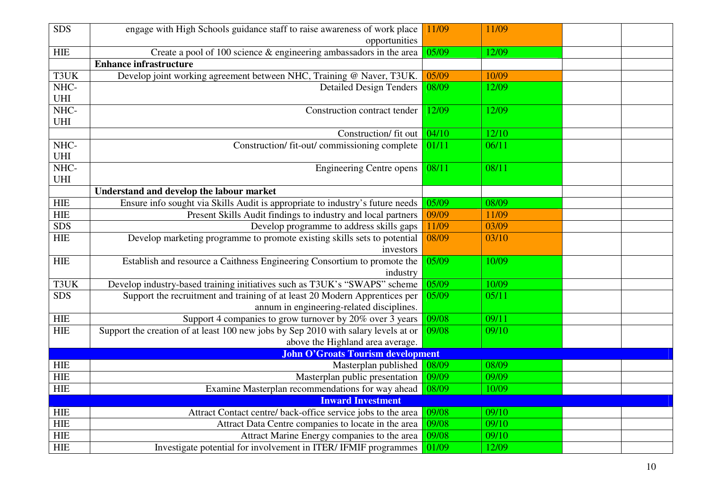| SDS                       | engage with High Schools guidance staff to raise awareness of work place<br>opportunities | 11/09 | 11/09 |  |
|---------------------------|-------------------------------------------------------------------------------------------|-------|-------|--|
| <b>HIE</b>                | Create a pool of 100 science $\&$ engineering ambassadors in the area                     | 05/09 | 12/09 |  |
|                           | <b>Enhance infrastructure</b>                                                             |       |       |  |
| T3UK                      | Develop joint working agreement between NHC, Training @ Naver, T3UK.                      | 05/09 | 10/09 |  |
| NHC-                      | <b>Detailed Design Tenders</b>                                                            | 08/09 | 12/09 |  |
| UHI                       |                                                                                           |       |       |  |
| NHC-                      | Construction contract tender                                                              | 12/09 | 12/09 |  |
| UHI                       |                                                                                           |       |       |  |
|                           | Construction/ fit out                                                                     | 04/10 | 12/10 |  |
| NHC-                      | Construction/ fit-out/ commissioning complete                                             | 01/11 | 06/11 |  |
| $UH$                      |                                                                                           |       |       |  |
| NHC-                      | <b>Engineering Centre opens</b>                                                           | 08/11 | 08/11 |  |
| <b>UHI</b>                |                                                                                           |       |       |  |
|                           | Understand and develop the labour market                                                  |       |       |  |
| ${\rm HIE}$               | Ensure info sought via Skills Audit is appropriate to industry's future needs             | 05/09 | 08/09 |  |
| <b>HIE</b>                | Present Skills Audit findings to industry and local partners                              | 09/09 | 11/09 |  |
| SDS                       | Develop programme to address skills gaps                                                  | 11/09 | 03/09 |  |
| <b>HIE</b>                | Develop marketing programme to promote existing skills sets to potential                  | 08/09 | 03/10 |  |
|                           | investors                                                                                 |       |       |  |
| ${\rm HIE}$               | Establish and resource a Caithness Engineering Consortium to promote the                  | 05/09 | 10/09 |  |
|                           | industry                                                                                  |       |       |  |
| T3UK                      | Develop industry-based training initiatives such as T3UK's "SWAPS" scheme                 | 05/09 | 10/09 |  |
| <b>SDS</b>                | Support the recruitment and training of at least 20 Modern Apprentices per                | 05/09 | 05/11 |  |
|                           | annum in engineering-related disciplines.                                                 |       |       |  |
| <b>HIE</b>                | Support 4 companies to grow turnover by 20% over 3 years                                  | 09/08 | 09/11 |  |
| <b>HIE</b>                | Support the creation of at least 100 new jobs by Sep 2010 with salary levels at or        | 09/08 | 09/10 |  |
|                           | above the Highland area average.                                                          |       |       |  |
|                           | <b>John O'Groats Tourism development</b>                                                  |       | 08/09 |  |
| <b>HIE</b>                | Masterplan published                                                                      | 08/09 |       |  |
| ${\sf HIE}$               | Masterplan public presentation                                                            | 09/09 | 09/09 |  |
| <b>HIE</b>                | Examine Masterplan recommendations for way ahead                                          | 08/09 | 10/09 |  |
|                           | <b>Inward Investment</b><br>Attract Contact centre/ back-office service jobs to the area  | 09/08 | 09/10 |  |
| ${\rm HIE}$<br><b>HIE</b> |                                                                                           | 09/08 |       |  |
| <b>HIE</b>                | Attract Data Centre companies to locate in the area                                       |       | 09/10 |  |
|                           | Attract Marine Energy companies to the area                                               | 09/08 | 09/10 |  |
| <b>HIE</b>                | Investigate potential for involvement in ITER/IFMIF programmes                            | 01/09 | 12/09 |  |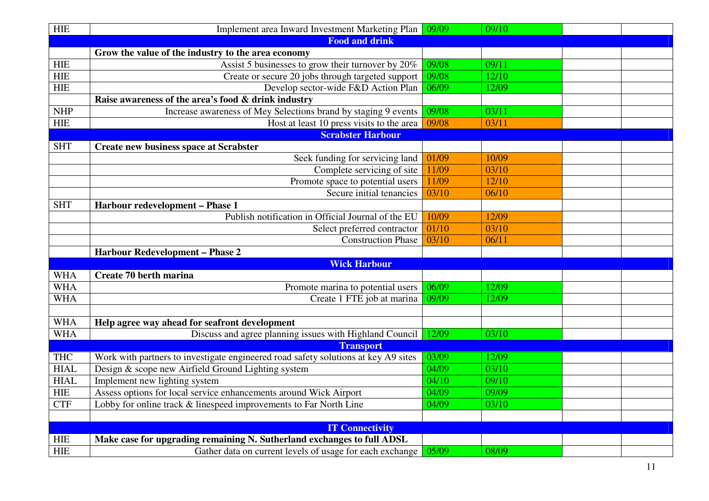| <b>HIE</b>            | Implement area Inward Investment Marketing Plan                                    | 09/09 | 09/10 |  |  |
|-----------------------|------------------------------------------------------------------------------------|-------|-------|--|--|
| <b>Food and drink</b> |                                                                                    |       |       |  |  |
|                       | Grow the value of the industry to the area economy                                 |       |       |  |  |
| HIE                   | Assist 5 businesses to grow their turnover by 20%                                  | 09/08 | 09/11 |  |  |
| <b>HIE</b>            | Create or secure 20 jobs through targeted support                                  | 09/08 | 12/10 |  |  |
| HIE                   | Develop sector-wide F&D Action Plan                                                |       | 12/09 |  |  |
|                       | Raise awareness of the area's food & drink industry                                |       |       |  |  |
| <b>NHP</b>            | Increase awareness of Mey Selections brand by staging 9 events                     | 09/08 | 03/11 |  |  |
| <b>HIE</b>            | Host at least 10 press visits to the area                                          | 09/08 | 03/11 |  |  |
|                       | <b>Scrabster Harbour</b>                                                           |       |       |  |  |
| <b>SHT</b>            | <b>Create new business space at Scrabster</b>                                      |       |       |  |  |
|                       | Seek funding for servicing land                                                    | 01/09 | 10/09 |  |  |
|                       | Complete servicing of site                                                         | 11/09 | 03/10 |  |  |
|                       | Promote space to potential users                                                   | 11/09 | 12/10 |  |  |
|                       | Secure initial tenancies                                                           | 03/10 | 06/10 |  |  |
| <b>SHT</b>            | Harbour redevelopment - Phase 1                                                    |       |       |  |  |
|                       | Publish notification in Official Journal of the EU                                 | 10/09 | 12/09 |  |  |
|                       | Select preferred contractor                                                        | 01/10 | 03/10 |  |  |
|                       | <b>Construction Phase</b>                                                          | 03/10 | 06/11 |  |  |
|                       | <b>Harbour Redevelopment - Phase 2</b>                                             |       |       |  |  |
|                       | <b>Wick Harbour</b>                                                                |       |       |  |  |
| <b>WHA</b>            | Create 70 berth marina                                                             |       |       |  |  |
| <b>WHA</b>            | Promote marina to potential users                                                  | 06/09 | 12/09 |  |  |
| <b>WHA</b>            | Create 1 FTE job at marina                                                         | 09/09 | 12/09 |  |  |
|                       |                                                                                    |       |       |  |  |
| <b>WHA</b>            | Help agree way ahead for seafront development                                      |       |       |  |  |
| <b>WHA</b>            | Discuss and agree planning issues with Highland Council 12/09                      |       | 03/10 |  |  |
|                       | <b>Transport</b>                                                                   |       |       |  |  |
| <b>THC</b>            | Work with partners to investigate engineered road safety solutions at key A9 sites | 03/09 | 12/09 |  |  |
| <b>HIAL</b>           | Design & scope new Airfield Ground Lighting system                                 | 04/09 | 03/10 |  |  |
| <b>HIAL</b>           | Implement new lighting system                                                      | 04/10 | 09/10 |  |  |
| <b>HIE</b>            | Assess options for local service enhancements around Wick Airport                  | 04/09 | 09/09 |  |  |
| <b>CTF</b>            | Lobby for online track & linespeed improvements to Far North Line                  | 04/09 | 03/10 |  |  |
|                       |                                                                                    |       |       |  |  |
|                       | <b>IT Connectivity</b>                                                             |       |       |  |  |
| <b>HIE</b>            | Make case for upgrading remaining N. Sutherland exchanges to full ADSL             |       |       |  |  |
| <b>HIE</b>            | Gather data on current levels of usage for each exchange                           | 05/09 | 08/09 |  |  |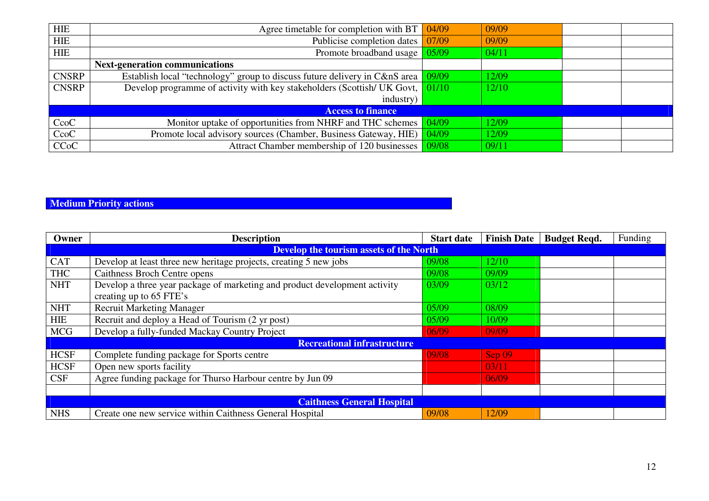| <b>HIE</b>   | Agree timetable for completion with BT $\sqrt{04/09}$                                 |       | 09/09 |  |
|--------------|---------------------------------------------------------------------------------------|-------|-------|--|
| <b>HIE</b>   | Publicise completion dates                                                            | 07/09 | 09/09 |  |
| HIE          | Promote broadband usage 05/09                                                         |       | 04/11 |  |
|              | <b>Next-generation communications</b>                                                 |       |       |  |
| <b>CNSRP</b> | Establish local "technology" group to discuss future delivery in C&nS area            | 09/09 | 12/09 |  |
| <b>CNSRP</b> | Develop programme of activity with key stakeholders (Scottish/UK Govt, $\sqrt{01/10}$ |       | 12/10 |  |
|              | industry)                                                                             |       |       |  |
|              | <b>Access to finance</b>                                                              |       |       |  |
| CcoC         | Monitor uptake of opportunities from NHRF and THC schemes                             | 04/09 | 12/09 |  |
| CcoC         | Promote local advisory sources (Chamber, Business Gateway, HIE)                       | 04/09 | 12/09 |  |
| <b>CCoC</b>  | Attract Chamber membership of 120 businesses                                          | 09/08 | 09/11 |  |

#### **Medium Priority actions**

| Owner                                          | <b>Description</b>                                                         | <b>Start date</b> | <b>Finish Date</b> | <b>Budget Reqd.</b> | Funding |
|------------------------------------------------|----------------------------------------------------------------------------|-------------------|--------------------|---------------------|---------|
| <b>Develop the tourism assets of the North</b> |                                                                            |                   |                    |                     |         |
| <b>CAT</b>                                     | Develop at least three new heritage projects, creating 5 new jobs          | 09/08             | 12/10              |                     |         |
| <b>THC</b>                                     | Caithness Broch Centre opens                                               | 09/08             | 09/09              |                     |         |
| <b>NHT</b>                                     | Develop a three year package of marketing and product development activity | 03/09             | 03/12              |                     |         |
|                                                | creating up to 65 FTE's                                                    |                   |                    |                     |         |
| <b>NHT</b>                                     | <b>Recruit Marketing Manager</b>                                           | 05/09             | 08/09              |                     |         |
| <b>HIE</b>                                     | Recruit and deploy a Head of Tourism (2 yr post)                           | 05/09             | 10/09              |                     |         |
| <b>MCG</b>                                     | Develop a fully-funded Mackay Country Project                              | 06/09             | 09/09              |                     |         |
|                                                | <b>Recreational infrastructure</b>                                         |                   |                    |                     |         |
| <b>HCSF</b>                                    | Complete funding package for Sports centre                                 | 09/08             | Sep 09             |                     |         |
| <b>HCSF</b>                                    | Open new sports facility                                                   |                   | 03/11              |                     |         |
| <b>CSF</b>                                     | Agree funding package for Thurso Harbour centre by Jun 09                  |                   | 06/09              |                     |         |
|                                                |                                                                            |                   |                    |                     |         |
|                                                | <b>Caithness General Hospital</b>                                          |                   |                    |                     |         |
| <b>NHS</b>                                     | Create one new service within Caithness General Hospital                   | 09/08             | 12/09              |                     |         |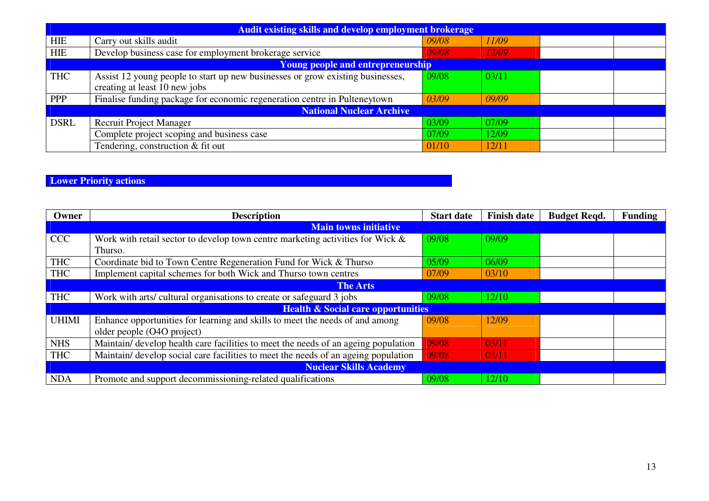| <b>Audit existing skills and develop employment brokerage</b> |                                                                                |       |       |  |  |
|---------------------------------------------------------------|--------------------------------------------------------------------------------|-------|-------|--|--|
| <b>HIE</b>                                                    | Carry out skills audit                                                         | 09/08 | 11/09 |  |  |
| HIE                                                           | Develop business case for employment brokerage service                         | 09/08 | 12/09 |  |  |
|                                                               | <b>Young people and entrepreneurship</b>                                       |       |       |  |  |
| <b>THC</b>                                                    | Assist 12 young people to start up new businesses or grow existing businesses, | 09/08 | 03/11 |  |  |
|                                                               | creating at least 10 new jobs                                                  |       |       |  |  |
| <b>PPP</b>                                                    | Finalise funding package for economic regeneration centre in Pulteneytown      | 03/09 | 09/09 |  |  |
|                                                               | <b>National Nuclear Archive</b>                                                |       |       |  |  |
| <b>DSRL</b>                                                   | <b>Recruit Project Manager</b>                                                 | 03/09 | 07/09 |  |  |
|                                                               | Complete project scoping and business case                                     | 07/09 | 12/09 |  |  |
|                                                               | Tendering, construction & fit out                                              | 01/10 | 12/11 |  |  |

#### **Lower Priority actions**

| Owner        | <b>Description</b>                                                                 | <b>Start date</b> | <b>Finish date</b> | <b>Budget Reqd.</b> | <b>Funding</b> |
|--------------|------------------------------------------------------------------------------------|-------------------|--------------------|---------------------|----------------|
|              | <b>Main towns initiative</b>                                                       |                   |                    |                     |                |
| <b>CCC</b>   | Work with retail sector to develop town centre marketing activities for Wick &     | 09/08             | 09/09              |                     |                |
|              | Thurso.                                                                            |                   |                    |                     |                |
| <b>THC</b>   | Coordinate bid to Town Centre Regeneration Fund for Wick & Thurso                  | 05/09             | 06/09              |                     |                |
| <b>THC</b>   | Implement capital schemes for both Wick and Thurso town centres                    | 07/09             | 03/10              |                     |                |
|              | <b>The Arts</b>                                                                    |                   |                    |                     |                |
| <b>THC</b>   | Work with arts/ cultural organisations to create or safeguard 3 jobs               | 09/08             | 12/10              |                     |                |
|              | <b>Health &amp; Social care opportunities</b>                                      |                   |                    |                     |                |
| <b>UHIMI</b> | Enhance opportunities for learning and skills to meet the needs of and among       | 09/08             | 12/09              |                     |                |
|              | older people (O4O project)                                                         |                   |                    |                     |                |
| <b>NHS</b>   | Maintain/ develop health care facilities to meet the needs of an ageing population | 09/08             | 03/11              |                     |                |
| <b>THC</b>   | Maintain/ develop social care facilities to meet the needs of an ageing population | 09/08             | 03/11              |                     |                |
|              | <b>Nuclear Skills Academy</b>                                                      |                   |                    |                     |                |
| <b>NDA</b>   | Promote and support decommissioning-related qualifications                         | 09/08             | 12/10              |                     |                |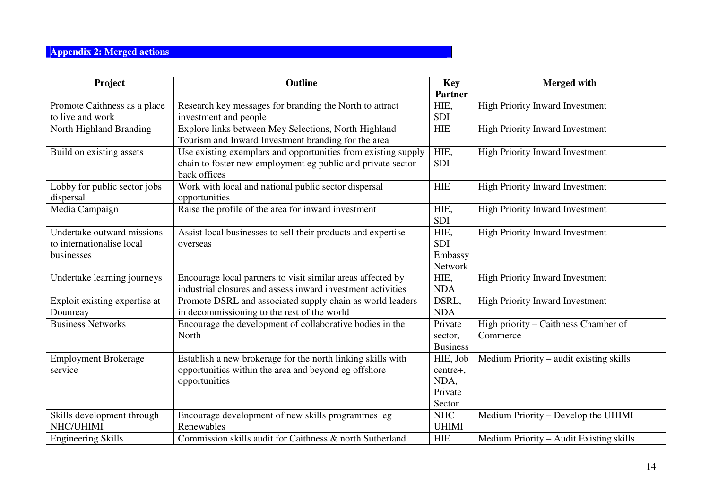# **Appendix 2: Merged actions**

| Project                       | Outline                                                       | <b>Key</b>      | <b>Merged with</b>                      |
|-------------------------------|---------------------------------------------------------------|-----------------|-----------------------------------------|
|                               |                                                               | <b>Partner</b>  |                                         |
| Promote Caithness as a place  | Research key messages for branding the North to attract       | HIE,            | <b>High Priority Inward Investment</b>  |
| to live and work              | investment and people                                         | <b>SDI</b>      |                                         |
| North Highland Branding       | Explore links between Mey Selections, North Highland          | <b>HIE</b>      | <b>High Priority Inward Investment</b>  |
|                               | Tourism and Inward Investment branding for the area           |                 |                                         |
| Build on existing assets      | Use existing exemplars and opportunities from existing supply | HIE,            | <b>High Priority Inward Investment</b>  |
|                               | chain to foster new employment eg public and private sector   | <b>SDI</b>      |                                         |
|                               | back offices                                                  |                 |                                         |
| Lobby for public sector jobs  | Work with local and national public sector dispersal          | <b>HIE</b>      | <b>High Priority Inward Investment</b>  |
| dispersal                     | opportunities                                                 |                 |                                         |
| Media Campaign                | Raise the profile of the area for inward investment           | HIE,            | High Priority Inward Investment         |
|                               |                                                               | <b>SDI</b>      |                                         |
| Undertake outward missions    | Assist local businesses to sell their products and expertise  | HIE,            | <b>High Priority Inward Investment</b>  |
| to internationalise local     | overseas                                                      | <b>SDI</b>      |                                         |
| businesses                    |                                                               | Embassy         |                                         |
|                               |                                                               | Network         |                                         |
| Undertake learning journeys   | Encourage local partners to visit similar areas affected by   | HIE,            | High Priority Inward Investment         |
|                               | industrial closures and assess inward investment activities   | <b>NDA</b>      |                                         |
| Exploit existing expertise at | Promote DSRL and associated supply chain as world leaders     | DSRL,           | <b>High Priority Inward Investment</b>  |
| Dounreay                      | in decommissioning to the rest of the world                   | <b>NDA</b>      |                                         |
| <b>Business Networks</b>      | Encourage the development of collaborative bodies in the      | Private         | High priority - Caithness Chamber of    |
|                               | North                                                         | sector,         | Commerce                                |
|                               |                                                               | <b>Business</b> |                                         |
| <b>Employment Brokerage</b>   | Establish a new brokerage for the north linking skills with   | HIE, Job        | Medium Priority – audit existing skills |
| service                       | opportunities within the area and beyond eg offshore          | centre+,        |                                         |
|                               | opportunities                                                 | NDA,            |                                         |
|                               |                                                               | Private         |                                         |
|                               |                                                               | Sector          |                                         |
| Skills development through    | Encourage development of new skills programmes eg             | <b>NHC</b>      | Medium Priority – Develop the UHIMI     |
| NHC/UHIMI                     | Renewables                                                    | <b>UHIMI</b>    |                                         |
| <b>Engineering Skills</b>     | Commission skills audit for Caithness & north Sutherland      | <b>HIE</b>      | Medium Priority - Audit Existing skills |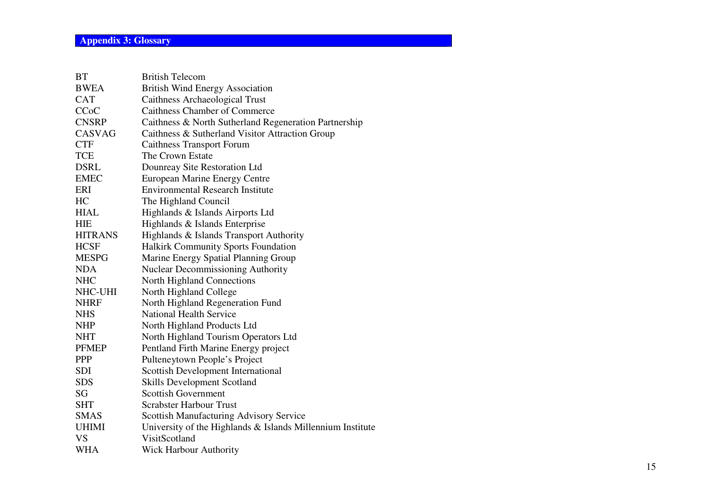| <b>British Telecom</b>                                     |
|------------------------------------------------------------|
| <b>British Wind Energy Association</b>                     |
| Caithness Archaeological Trust                             |
| <b>Caithness Chamber of Commerce</b>                       |
| Caithness & North Sutherland Regeneration Partnership      |
| Caithness & Sutherland Visitor Attraction Group            |
| <b>Caithness Transport Forum</b>                           |
| The Crown Estate                                           |
| Dounreay Site Restoration Ltd                              |
| <b>European Marine Energy Centre</b>                       |
| <b>Environmental Research Institute</b>                    |
| The Highland Council                                       |
| Highlands & Islands Airports Ltd                           |
| Highlands & Islands Enterprise                             |
| Highlands & Islands Transport Authority                    |
| Halkirk Community Sports Foundation                        |
| Marine Energy Spatial Planning Group                       |
| <b>Nuclear Decommissioning Authority</b>                   |
| North Highland Connections                                 |
| North Highland College                                     |
| North Highland Regeneration Fund                           |
| <b>National Health Service</b>                             |
| North Highland Products Ltd                                |
| North Highland Tourism Operators Ltd                       |
| Pentland Firth Marine Energy project                       |
| Pulteneytown People's Project                              |
| Scottish Development International                         |
| <b>Skills Development Scotland</b>                         |
| <b>Scottish Government</b>                                 |
| <b>Scrabster Harbour Trust</b>                             |
| <b>Scottish Manufacturing Advisory Service</b>             |
| University of the Highlands & Islands Millennium Institute |
| VisitScotland                                              |
| <b>Wick Harbour Authority</b>                              |
|                                                            |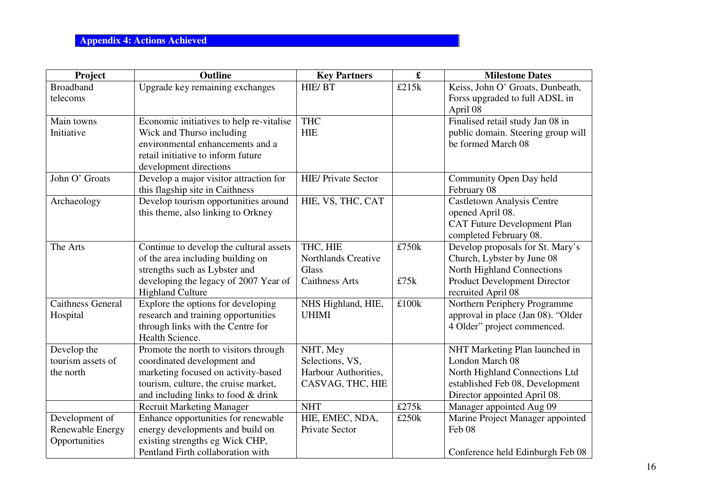| Project                  | <b>Outline</b>                           | <b>Key Partners</b>        | $\pmb{\mathfrak{L}}$ | <b>Milestone Dates</b>             |
|--------------------------|------------------------------------------|----------------------------|----------------------|------------------------------------|
| <b>Broadband</b>         | Upgrade key remaining exchanges          | HIE/BT                     | £215k                | Keiss, John O' Groats, Dunbeath,   |
| telecoms                 |                                          |                            |                      | Forss upgraded to full ADSL in     |
|                          |                                          |                            |                      | April 08                           |
| Main towns               | Economic initiatives to help re-vitalise | <b>THC</b>                 |                      | Finalised retail study Jan 08 in   |
| Initiative               | Wick and Thurso including                | <b>HIE</b>                 |                      | public domain. Steering group will |
|                          | environmental enhancements and a         |                            |                      | be formed March 08                 |
|                          | retail initiative to inform future       |                            |                      |                                    |
|                          | development directions                   |                            |                      |                                    |
| John O' Groats           | Develop a major visitor attraction for   | <b>HIE/ Private Sector</b> |                      | Community Open Day held            |
|                          | this flagship site in Caithness          |                            |                      | February 08                        |
| Archaeology              | Develop tourism opportunities around     | HIE, VS, THC, CAT          |                      | <b>Castletown Analysis Centre</b>  |
|                          | this theme, also linking to Orkney       |                            |                      | opened April 08.                   |
|                          |                                          |                            |                      | <b>CAT Future Development Plan</b> |
|                          |                                          |                            |                      | completed February 08.             |
| The Arts                 | Continue to develop the cultural assets  | THC, HIE                   | £750k                | Develop proposals for St. Mary's   |
|                          | of the area including building on        | Northlands Creative        |                      | Church, Lybster by June 08         |
|                          | strengths such as Lybster and            | <b>Glass</b>               |                      | North Highland Connections         |
|                          | developing the legacy of 2007 Year of    | <b>Caithness Arts</b>      | £75k                 | Product Development Director       |
|                          | <b>Highland Culture</b>                  |                            |                      | recruited April 08                 |
| <b>Caithness General</b> | Explore the options for developing       | NHS Highland, HIE,         | £100k                | Northern Periphery Programme       |
| Hospital                 | research and training opportunities      | <b>UHIMI</b>               |                      | approval in place (Jan 08). "Older |
|                          | through links with the Centre for        |                            |                      | 4 Older" project commenced.        |
|                          | Health Science.                          |                            |                      |                                    |
| Develop the              | Promote the north to visitors through    | NHT, Mey                   |                      | NHT Marketing Plan launched in     |
| tourism assets of        | coordinated development and              | Selections, VS,            |                      | London March 08                    |
| the north                | marketing focused on activity-based      | Harbour Authorities,       |                      | North Highland Connections Ltd     |
|                          | tourism, culture, the cruise market,     | CASVAG, THC, HIE           |                      | established Feb 08, Development    |
|                          | and including links to food $&$ drink    |                            |                      | Director appointed April 08.       |
|                          | <b>Recruit Marketing Manager</b>         | <b>NHT</b>                 | £275k                | Manager appointed Aug 09           |
| Development of           | Enhance opportunities for renewable      | HIE, EMEC, NDA,            | £250k                | Marine Project Manager appointed   |
| Renewable Energy         | energy developments and build on         | Private Sector             |                      | Feb 08                             |
| Opportunities            | existing strengths eg Wick CHP,          |                            |                      |                                    |
|                          | Pentland Firth collaboration with        |                            |                      | Conference held Edinburgh Feb 08   |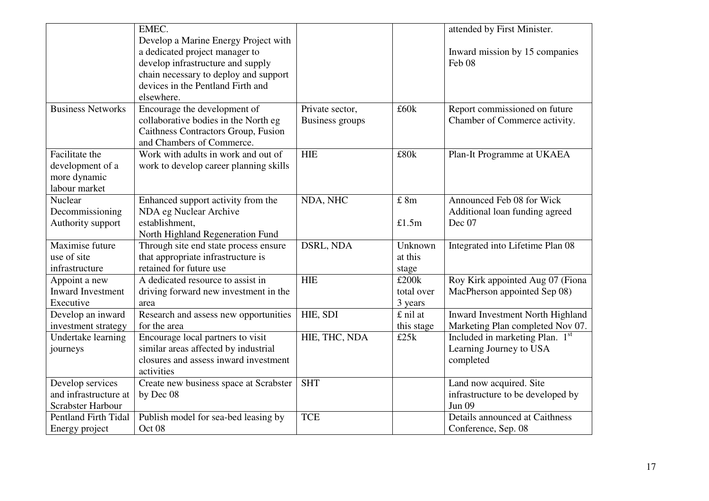|                                                                     | EMEC.                                                                                                                                                                                                   |                                    |                                   | attended by First Minister.                                                   |
|---------------------------------------------------------------------|---------------------------------------------------------------------------------------------------------------------------------------------------------------------------------------------------------|------------------------------------|-----------------------------------|-------------------------------------------------------------------------------|
|                                                                     | Develop a Marine Energy Project with<br>a dedicated project manager to<br>develop infrastructure and supply<br>chain necessary to deploy and support<br>devices in the Pentland Firth and<br>elsewhere. |                                    |                                   | Inward mission by 15 companies<br>Feb 08                                      |
| <b>Business Networks</b>                                            | Encourage the development of<br>collaborative bodies in the North eg<br>Caithness Contractors Group, Fusion<br>and Chambers of Commerce.                                                                | Private sector,<br>Business groups | £60k                              | Report commissioned on future<br>Chamber of Commerce activity.                |
| Facilitate the<br>development of a<br>more dynamic<br>labour market | Work with adults in work and out of<br>work to develop career planning skills                                                                                                                           | <b>HIE</b>                         | £80k                              | Plan-It Programme at UKAEA                                                    |
| Nuclear<br>Decommissioning<br>Authority support                     | Enhanced support activity from the<br>NDA eg Nuclear Archive<br>establishment,<br>North Highland Regeneration Fund                                                                                      | NDA, NHC                           | £ 8m<br>£1.5m                     | Announced Feb 08 for Wick<br>Additional loan funding agreed<br>Dec 07         |
| Maximise future<br>use of site<br>infrastructure                    | Through site end state process ensure<br>that appropriate infrastructure is<br>retained for future use                                                                                                  | DSRL, NDA                          | Unknown<br>at this<br>stage       | Integrated into Lifetime Plan 08                                              |
| Appoint a new<br><b>Inward Investment</b><br>Executive              | A dedicated resource to assist in<br>driving forward new investment in the<br>area                                                                                                                      | HIE                                | £200 $k$<br>total over<br>3 years | Roy Kirk appointed Aug 07 (Fiona<br>MacPherson appointed Sep 08)              |
| Develop an inward<br>investment strategy                            | Research and assess new opportunities<br>for the area                                                                                                                                                   | HIE, SDI                           | £ nil at<br>this stage            | Inward Investment North Highland<br>Marketing Plan completed Nov 07.          |
| Undertake learning<br>journeys                                      | Encourage local partners to visit<br>similar areas affected by industrial<br>closures and assess inward investment<br>activities                                                                        | HIE, THC, NDA                      | £25k                              | Included in marketing Plan. 1st<br>Learning Journey to USA<br>completed       |
| Develop services<br>and infrastructure at<br>Scrabster Harbour      | Create new business space at Scrabster<br>by Dec 08                                                                                                                                                     | <b>SHT</b>                         |                                   | Land now acquired. Site<br>infrastructure to be developed by<br><b>Jun 09</b> |
| Pentland Firth Tidal<br>Energy project                              | Publish model for sea-bed leasing by<br>Oct 08                                                                                                                                                          | <b>TCE</b>                         |                                   | Details announced at Caithness<br>Conference, Sep. 08                         |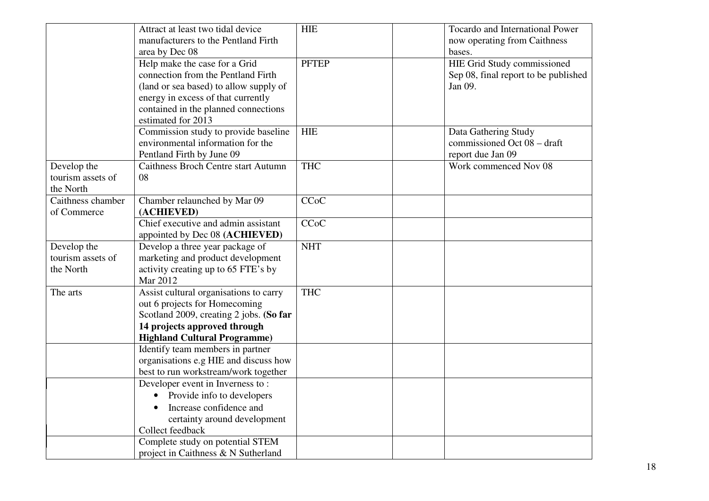|                                               | Attract at least two tidal device<br>manufacturers to the Pentland Firth<br>area by Dec 08                                                                                                                        | <b>HIE</b>   | Tocardo and International Power<br>now operating from Caithness<br>bases.             |
|-----------------------------------------------|-------------------------------------------------------------------------------------------------------------------------------------------------------------------------------------------------------------------|--------------|---------------------------------------------------------------------------------------|
|                                               | Help make the case for a Grid<br>connection from the Pentland Firth<br>(land or sea based) to allow supply of<br>energy in excess of that currently<br>contained in the planned connections<br>estimated for 2013 | <b>PFTEP</b> | <b>HIE Grid Study commissioned</b><br>Sep 08, final report to be published<br>Jan 09. |
|                                               | Commission study to provide baseline<br>environmental information for the<br>Pentland Firth by June 09                                                                                                            | <b>HIE</b>   | Data Gathering Study<br>commissioned Oct 08 - draft<br>report due Jan 09              |
| Develop the<br>tourism assets of<br>the North | <b>Caithness Broch Centre start Autumn</b><br>08                                                                                                                                                                  | <b>THC</b>   | Work commenced Nov 08                                                                 |
| Caithness chamber<br>of Commerce              | Chamber relaunched by Mar 09<br>(ACHIEVED)                                                                                                                                                                        | CCoC         |                                                                                       |
|                                               | Chief executive and admin assistant<br>appointed by Dec 08 (ACHIEVED)                                                                                                                                             | <b>CCoC</b>  |                                                                                       |
| Develop the<br>tourism assets of<br>the North | Develop a three year package of<br>marketing and product development<br>activity creating up to 65 FTE's by<br>Mar 2012                                                                                           | <b>NHT</b>   |                                                                                       |
| The arts                                      | Assist cultural organisations to carry<br>out 6 projects for Homecoming<br>Scotland 2009, creating 2 jobs. (So far<br>14 projects approved through<br><b>Highland Cultural Programme)</b>                         | <b>THC</b>   |                                                                                       |
|                                               | Identify team members in partner<br>organisations e.g HIE and discuss how<br>best to run workstream/work together                                                                                                 |              |                                                                                       |
|                                               | Developer event in Inverness to:<br>• Provide info to developers<br>Increase confidence and<br>certainty around development<br>Collect feedback                                                                   |              |                                                                                       |
|                                               | Complete study on potential STEM<br>project in Caithness & N Sutherland                                                                                                                                           |              |                                                                                       |